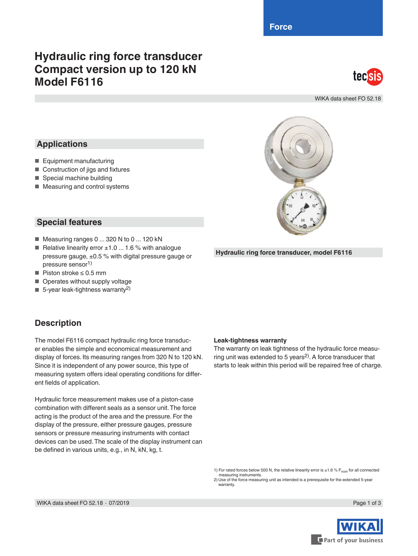**Force**

# **Hydraulic ring force transducer Compact version up to 120 kN Model F6116**



WIKA data sheet FO 52.18

### **Applications**

- Equipment manufacturing
- Construction of jigs and fixtures
- Special machine building
- Measuring and control systems

#### **Special features**

- Measuring ranges 0 ... 320 N to 0 ... 120 kN
- Relative linearity error  $±1.0$  ... 1.6 % with analogue pressure gauge, ±0.5 % with digital pressure gauge or pressure sensor1)
- Piston stroke ≤ 0.5 mm
- Operates without supply voltage
- $\blacksquare$  5-year leak-tightness warranty<sup>2)</sup>

#### **Description**

The model F6116 compact hydraulic ring force transducer enables the simple and economical measurement and display of forces. Its measuring ranges from 320 N to 120 kN. Since it is independent of any power source, this type of measuring system offers ideal operating conditions for different fields of application.

Hydraulic force measurement makes use of a piston-case combination with different seals as a sensor unit. The force acting is the product of the area and the pressure. For the display of the pressure, either pressure gauges, pressure sensors or pressure measuring instruments with contact devices can be used. The scale of the display instrument can be defined in various units, e.g., in N, kN, kg, t.

#### **Leak-tightness warranty**

The warranty on leak tightness of the hydraulic force measuring unit was extended to 5 years<sup>2)</sup>. A force transducer that starts to leak within this period will be repaired free of charge.

**Hydraulic ring force transducer, model F6116**

1) For rated forces below 500 N, the relative linearity error is  $\pm 1.6$  % F<sub>nom</sub> for all connected measuring instruments.

2) Use of the force measuring unit as intended is a prerequisite for the extended 5-year warranty

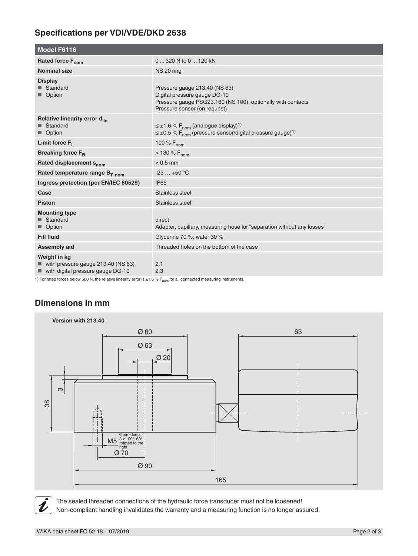# **Specifications per VDI/VDE/DKD 2638**

| <b>Model F6116</b>                                                                          |                                                                                                                                                                |
|---------------------------------------------------------------------------------------------|----------------------------------------------------------------------------------------------------------------------------------------------------------------|
| Rated force F <sub>nom</sub>                                                                | 0  320 N to 0  120 kN                                                                                                                                          |
| <b>Nominal size</b>                                                                         | NS 20 ring                                                                                                                                                     |
| <b>Display</b><br>■ Standard<br>■ Option                                                    | Pressure gauge 213.40 (NS 63)<br>Digital pressure gauge DG-10<br>Pressure gauge PSG23.160 (NS 100), optionally with contacts<br>Pressure sensor (on request)   |
| Relative linearity error d <sub>lin</sub><br>■ Standard<br>■ Option                         | $\leq \pm 1.6$ % F <sub>nom</sub> (analogue display) <sup>1)</sup><br>$\leq \pm 0.5$ % F <sub>nom</sub> (pressure sensor/digital pressure gauge) <sup>1)</sup> |
| Limit force $F_1$                                                                           | 100 % $F_{nom}$                                                                                                                                                |
| Breaking force F <sub>R</sub>                                                               | $> 130 \% F_{nom}$                                                                                                                                             |
| Rated displacement s <sub>nom</sub>                                                         | $< 0.5$ mm                                                                                                                                                     |
| Rated temperature range B <sub>T. nom</sub>                                                 | $-25+50$ °C                                                                                                                                                    |
| Ingress protection (per EN/IEC 60529)                                                       | <b>IP65</b>                                                                                                                                                    |
| Case                                                                                        | Stainless steel                                                                                                                                                |
| <b>Piston</b>                                                                               | Stainless steel                                                                                                                                                |
| <b>Mounting type</b><br>■ Standard<br>■ Option                                              | direct<br>Adapter, capillary, measuring hose for "separation without any losses"                                                                               |
| <b>Fill fluid</b>                                                                           | Glycerine 70 %, water 30 %                                                                                                                                     |
| <b>Assembly aid</b>                                                                         | Threaded holes on the bottom of the case                                                                                                                       |
| Weight in kg<br>■ with pressure gauge 213.40 (NS 63)<br>■ with digital pressure gauge DG-10 | 2.1<br>2.3                                                                                                                                                     |

1) For rated forces below 500 N, the relative linearity error is  $\pm 1.6$  % F<sub>nom</sub> for all connected measuring instruments.

# **Dimensions in mm**





The sealed threaded connections of the hydraulic force transducer must not be loosened! Non-compliant handling invalidates the warranty and a measuring function is no longer assured.